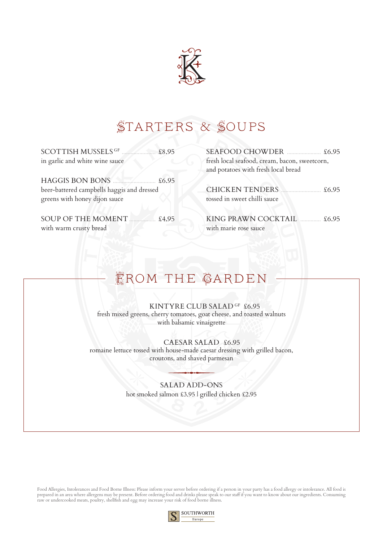

# Starters & Soups

SCOTTISH MUSSELS GF ....................... £8.95 in garlic and white wine sauce

 $HAGGIS BON BONS$   $\overline{6.95}$ beer-battered campbells haggis and dressed greens with honey dijon sauce

SOUP OF THE MOMENT .................. £4.95 with warm crusty bread

SEAFOOD CHOWDER ....................... £6.95 fresh local seafood, cream, bacon, sweetcorn, and potatoes with fresh local bread

CHICKEN TENDERS ........................... £6.95 tossed in sweet chilli sauce

KING PRAWN COCKTAIL  $16.95$ with marie rose sauce

# EROM THE GARDEN

KINTYRE CLUB SALAD <sup>gf</sup> £6.95 fresh mixed greens, cherry tomatoes, goat cheese, and toasted walnuts with balsamic vinaigrette

CAESAR SALAD £6.95 romaine lettuce tossed with house-made caesar dressing with grilled bacon, croutons, and shaved parmesan

### SALAD ADD-ONS hot smoked salmon £3.95 | grilled chicken £2.95

Food Allergies, Intolerances and Food Borne Illness: Please inform your server before ordering if a person in your party has a food allergy or intolerance. All food is prepared in an area where allergens may be present. Before ordering food and drinks please speak to our staff if you want to know about our ingredients. Consuming raw or undercooked meats, poultry, shellfish and egg may increase your risk of food borne illness.